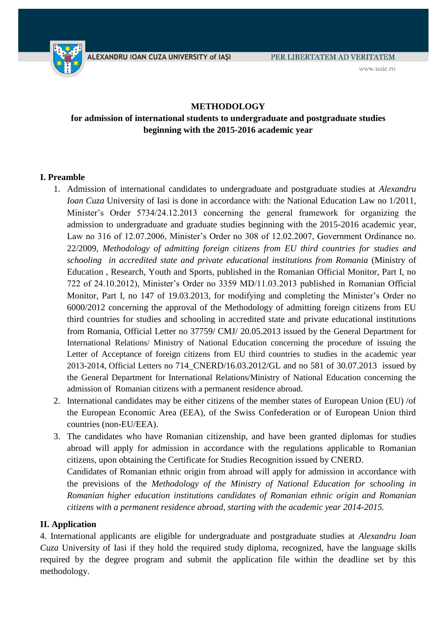

www.uaic.ro

## **METHODOLOGY**

# **for admission of international students to undergraduate and postgraduate studies beginning with the 2015-2016 academic year**

## **I. Preamble**

- 1. Admission of international candidates to undergraduate and postgraduate studies at *Alexandru Ioan Cuza* University of Iasi is done in accordance with: the National Education Law no 1/2011, Minister's Order 5734/24.12.2013 concerning the general framework for organizing the admission to undergraduate and graduate studies beginning with the 2015-2016 academic year, Law no 316 of 12.07.2006, Minister's Order no 308 of 12.02.2007, Government Ordinance no. 22/2009, *Methodology of admitting foreign citizens from EU third countries for studies and schooling in accredited state and private educational institutions from Romania* (Ministry of Education , Research, Youth and Sports, published in the Romanian Official Monitor, Part I, no 722 of 24.10.2012), Minister's Order no 3359 MD/11.03.2013 published in Romanian Official Monitor, Part I, no 147 of 19.03.2013, for modifying and completing the Minister's Order no 6000/2012 concerning the approval of the Methodology of admitting foreign citizens from EU third countries for studies and schooling in accredited state and private educational institutions from Romania, Official Letter no 37759/ CMJ/ 20.05.2013 issued by the General Department for International Relations/ Ministry of National Education concerning the procedure of issuing the Letter of Acceptance of foreign citizens from EU third countries to studies in the academic year 2013-2014, Official Letters no 714\_CNERD/16.03.2012/GL and no 581 of 30.07.2013 issued by the General Department for International Relations/Ministry of National Education concerning the admission of Romanian citizens with a permanent residence abroad.
- 2. International candidates may be either citizens of the member states of European Union (EU) /of the European Economic Area (EEA), of the Swiss Confederation or of European Union third countries (non-EU/EEA).
- 3. The candidates who have Romanian citizenship, and have been granted diplomas for studies abroad will apply for admission in accordance with the regulations applicable to Romanian citizens, upon obtaining the Certificate for Studies Recognition issued by CNERD. Candidates of Romanian ethnic origin from abroad will apply for admission in accordance with the previsions of the *Methodology of the Ministry of National Education for schooling in Romanian higher education institutions candidates of Romanian ethnic origin and Romanian citizens with a permanent residence abroad, starting with the academic year 2014-2015.*

### **II. Application**

4. International applicants are eligible for undergraduate and postgraduate studies at *Alexandru Ioan Cuza* University of Iasi if they hold the required study diploma, recognized, have the language skills required by the degree program and submit the application file within the deadline set by this methodology.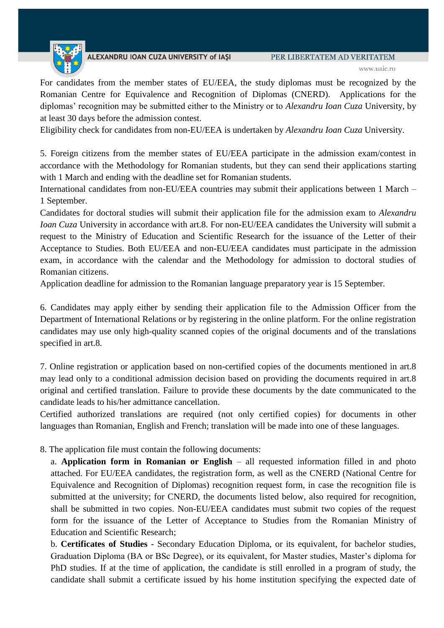

For candidates from the member states of EU/EEA, the study diplomas must be recognized by the Romanian Centre for Equivalence and Recognition of Diplomas (CNERD). Applications for the diplomas' recognition may be submitted either to the Ministry or to *Alexandru Ioan Cuza* University, by at least 30 days before the admission contest.

Eligibility check for candidates from non-EU/EEA is undertaken by *Alexandru Ioan Cuza* University.

5. Foreign citizens from the member states of EU/EEA participate in the admission exam/contest in accordance with the Methodology for Romanian students, but they can send their applications starting with 1 March and ending with the deadline set for Romanian students.

International candidates from non-EU/EEA countries may submit their applications between 1 March – 1 September.

Candidates for doctoral studies will submit their application file for the admission exam to *Alexandru Ioan Cuza* University in accordance with art.8. For non-EU/EEA candidates the University will submit a request to the Ministry of Education and Scientific Research for the issuance of the Letter of their Acceptance to Studies. Both EU/EEA and non-EU/EEA candidates must participate in the admission exam, in accordance with the calendar and the Methodology for admission to doctoral studies of Romanian citizens.

Application deadline for admission to the Romanian language preparatory year is 15 September.

6. Candidates may apply either by sending their application file to the Admission Officer from the Department of International Relations or by registering in the online platform. For the online registration candidates may use only high-quality scanned copies of the original documents and of the translations specified in art.8.

7. Online registration or application based on non-certified copies of the documents mentioned in art.8 may lead only to a conditional admission decision based on providing the documents required in art.8 original and certified translation. Failure to provide these documents by the date communicated to the candidate leads to his/her admittance cancellation.

Certified authorized translations are required (not only certified copies) for documents in other languages than Romanian, English and French; translation will be made into one of these languages.

8. The application file must contain the following documents:

a. **Application form in Romanian or English** – all requested information filled in and photo attached. For EU/EEA candidates, the registration form, as well as the CNERD (National Centre for Equivalence and Recognition of Diplomas) recognition request form, in case the recognition file is submitted at the university; for CNERD, the documents listed below, also required for recognition, shall be submitted in two copies. Non-EU/EEA candidates must submit two copies of the request form for the issuance of the Letter of Acceptance to Studies from the Romanian Ministry of Education and Scientific Research;

b. **Certificates of Studies** - Secondary Education Diploma, or its equivalent, for bachelor studies, Graduation Diploma (BA or BSc Degree), or its equivalent, for Master studies, Master's diploma for PhD studies. If at the time of application, the candidate is still enrolled in a program of study, the candidate shall submit a certificate issued by his home institution specifying the expected date of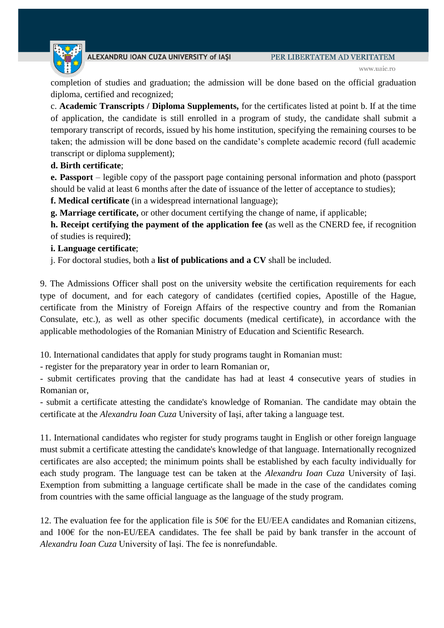www.uaic.ro

completion of studies and graduation; the admission will be done based on the official graduation diploma, certified and recognized;

c. **Academic Transcripts / Diploma Supplements,** for the certificates listed at point b. If at the time of application, the candidate is still enrolled in a program of study, the candidate shall submit a temporary transcript of records, issued by his home institution, specifying the remaining courses to be taken; the admission will be done based on the candidate's complete academic record (full academic transcript or diploma supplement);

## **d. Birth certificate**;

**e. Passport** – legible copy of the passport page containing personal information and photo (passport should be valid at least 6 months after the date of issuance of the letter of acceptance to studies);

**f. Medical certificate** (in a widespread international language);

**g. Marriage certificate,** or other document certifying the change of name, if applicable;

**h. Receipt certifying the payment of the application fee (**as well as the CNERD fee, if recognition of studies is required**)**;

## **i. Language certificate**;

j. For doctoral studies, both a **list of publications and a CV** shall be included.

9. The Admissions Officer shall post on the university website the certification requirements for each type of document, and for each category of candidates (certified copies, Apostille of the Hague, certificate from the Ministry of Foreign Affairs of the respective country and from the Romanian Consulate, etc.), as well as other specific documents (medical certificate), in accordance with the applicable methodologies of the Romanian Ministry of Education and Scientific Research.

10. International candidates that apply for study programs taught in Romanian must:

- register for the preparatory year in order to learn Romanian or,

- submit certificates proving that the candidate has had at least 4 consecutive years of studies in Romanian or,

- submit a certificate attesting the candidate's knowledge of Romanian. The candidate may obtain the certificate at the *Alexandru Ioan Cuza* University of Iași, after taking a language test.

11. International candidates who register for study programs taught in English or other foreign language must submit a certificate attesting the candidate's knowledge of that language. Internationally recognized certificates are also accepted; the minimum points shall be established by each faculty individually for each study program. The language test can be taken at the *Alexandru Ioan Cuza* University of Iași. Exemption from submitting a language certificate shall be made in the case of the candidates coming from countries with the same official language as the language of the study program.

12. The evaluation fee for the application file is 50 $\epsilon$  for the EU/EEA candidates and Romanian citizens, and 100€ for the non-EU/EEA candidates. The fee shall be paid by bank transfer in the account of *Alexandru Ioan Cuza* University of Iași. The fee is nonrefundable.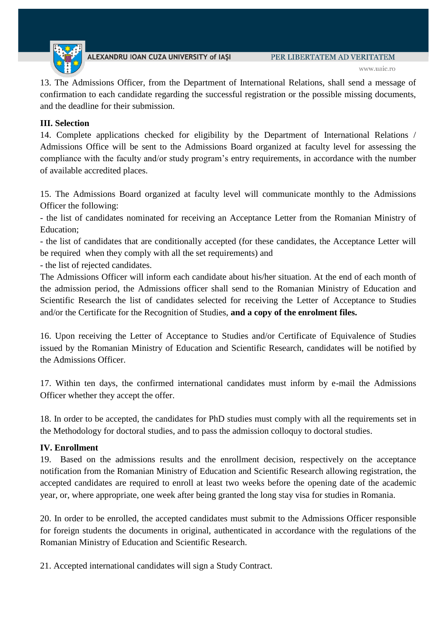

13. The Admissions Officer, from the Department of International Relations, shall send a message of confirmation to each candidate regarding the successful registration or the possible missing documents, and the deadline for their submission.

### **III. Selection**

14. Complete applications checked for eligibility by the Department of International Relations / Admissions Office will be sent to the Admissions Board organized at faculty level for assessing the compliance with the faculty and/or study program's entry requirements, in accordance with the number of available accredited places.

15. The Admissions Board organized at faculty level will communicate monthly to the Admissions Officer the following:

- the list of candidates nominated for receiving an Acceptance Letter from the Romanian Ministry of Education;

- the list of candidates that are conditionally accepted (for these candidates, the Acceptance Letter will be required when they comply with all the set requirements) and

- the list of rejected candidates.

The Admissions Officer will inform each candidate about his/her situation. At the end of each month of the admission period, the Admissions officer shall send to the Romanian Ministry of Education and Scientific Research the list of candidates selected for receiving the Letter of Acceptance to Studies and/or the Certificate for the Recognition of Studies, **and a copy of the enrolment files.** 

16. Upon receiving the Letter of Acceptance to Studies and/or Certificate of Equivalence of Studies issued by the Romanian Ministry of Education and Scientific Research, candidates will be notified by the Admissions Officer.

17. Within ten days, the confirmed international candidates must inform by e-mail the Admissions Officer whether they accept the offer.

18. In order to be accepted, the candidates for PhD studies must comply with all the requirements set in the Methodology for doctoral studies, and to pass the admission colloquy to doctoral studies.

### **IV. Enrollment**

19. Based on the admissions results and the enrollment decision, respectively on the acceptance notification from the Romanian Ministry of Education and Scientific Research allowing registration, the accepted candidates are required to enroll at least two weeks before the opening date of the academic year, or, where appropriate, one week after being granted the long stay visa for studies in Romania.

20. In order to be enrolled, the accepted candidates must submit to the Admissions Officer responsible for foreign students the documents in original, authenticated in accordance with the regulations of the Romanian Ministry of Education and Scientific Research.

21. Accepted international candidates will sign a Study Contract.